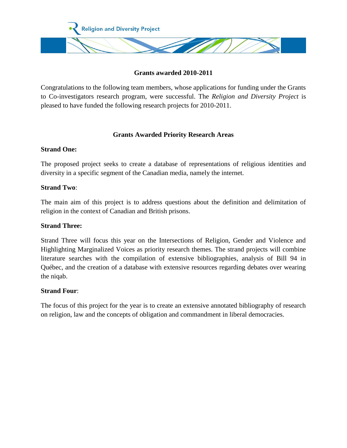

## **Grants awarded 2010-2011**

Congratulations to the following team members, whose applications for funding under the Grants to Co-investigators research program, were successful. The *Religion and Diversity Project* is pleased to have funded the following research projects for 2010-2011.

# **Grants Awarded Priority Research Areas**

## **Strand One:**

The proposed project seeks to create a database of representations of religious identities and diversity in a specific segment of the Canadian media, namely the internet.

## **Strand Two**:

The main aim of this project is to address questions about the definition and delimitation of religion in the context of Canadian and British prisons.

## **Strand Three:**

Strand Three will focus this year on the Intersections of Religion, Gender and Violence and Highlighting Marginalized Voices as priority research themes. The strand projects will combine literature searches with the compilation of extensive bibliographies, analysis of Bill 94 in Québec, and the creation of a database with extensive resources regarding debates over wearing the niqab.

## **Strand Four**:

The focus of this project for the year is to create an extensive annotated bibliography of research on religion, law and the concepts of obligation and commandment in liberal democracies.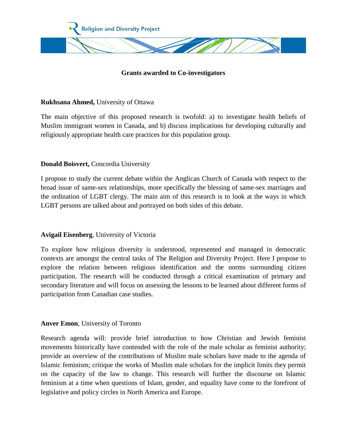

### **Grants awarded to Co-investigators**

#### **Rukhsana Ahmed,** University of Ottawa

The main objective of this proposed research is twofold: a) to investigate health beliefs of Muslim immigrant women in Canada, and b) discuss implications for developing culturally and religiously appropriate health care practices for this population group.

### **Donald Boisvert,** Concordia University

I propose to study the current debate within the Anglican Church of Canada with respect to the broad issue of same-sex relationships, more specifically the blessing of same-sex marriages and the ordination of LGBT clergy. The main aim of this research is to look at the ways in which LGBT persons are talked about and portrayed on both sides of this debate.

## **Avigail Eisenberg**, University of Victoria

To explore how religious diversity is understood, represented and managed in democratic contexts are amongst the central tasks of The Religion and Diversity Project. Here I propose to explore the relation between religious identification and the norms surrounding citizen participation. The research will be conducted through a critical examination of primary and secondary literature and will focus on assessing the lessons to be learned about different forms of participation from Canadian case studies.

#### **Anver Emon**, University of Toronto

Research agenda will: provide brief introduction to how Christian and Jewish feminist movements historically have contended with the role of the male scholar as feminist authority; provide an overview of the contributions of Muslim male scholars have made to the agenda of Islamic feminism; critique the works of Muslim male scholars for the implicit limits they permit on the capacity of the law to change. This research will further the discourse on Islamic feminism at a time when questions of Islam, gender, and equality have come to the forefront of legislative and policy circles in North America and Europe.